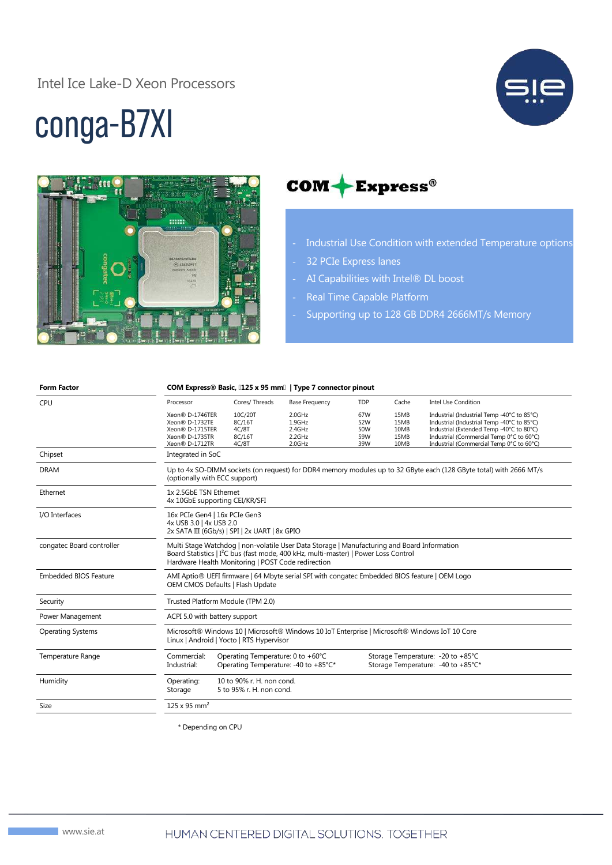#### Intel Ice Lake-D Xeon Processors



# conga-B7XI



#### $COM + Express<sup>®</sup>$

- Industrial Use Condition with extended Temperature options
- 32 PCIe Express lanes
- AI Capabilities with Intel® DL boost
- Real Time Capable Platform
- Supporting up to 128 GB DDR4 2666MT/s Memory

| <b>Form Factor</b>           | COM Express® Basic, [125 x 95 mm]   Type 7 connector pinout                                                                                                                                                                                          |                                                                           |                                                |                                 |                                      |                                                                                                                                                                                                                              |  |
|------------------------------|------------------------------------------------------------------------------------------------------------------------------------------------------------------------------------------------------------------------------------------------------|---------------------------------------------------------------------------|------------------------------------------------|---------------------------------|--------------------------------------|------------------------------------------------------------------------------------------------------------------------------------------------------------------------------------------------------------------------------|--|
| CPU                          | Processor                                                                                                                                                                                                                                            | Cores/Threads                                                             | <b>Base Frequency</b>                          | TDP                             | Cache                                | <b>Intel Use Condition</b>                                                                                                                                                                                                   |  |
|                              | Xeon® D-1746TER<br>Xeon® D-1732TE<br>Xeon <sup>®</sup> D-1715TER<br>Xeon® D-1735TR<br>Xeon® D-1712TR                                                                                                                                                 | 10C/20T<br>8C/16T<br>4C/8T<br>8C/16T<br>4C/8T                             | 2.0GHz<br>1.9GHz<br>2.4GHz<br>2.2GHz<br>2.0GHz | 67W<br>52W<br>50W<br>59W<br>39W | 15MB<br>15MB<br>10MB<br>15MB<br>10MB | Industrial (Industrial Temp -40°C to 85°C)<br>Industrial (Industrial Temp -40°C to 85°C)<br>Industrial (Extended Temp -40°C to 80°C)<br>Industrial (Commercial Temp 0°C to 60°C)<br>Industrial (Commercial Temp 0°C to 60°C) |  |
| Chipset                      | Integrated in SoC                                                                                                                                                                                                                                    |                                                                           |                                                |                                 |                                      |                                                                                                                                                                                                                              |  |
| <b>DRAM</b>                  | Up to 4x SO-DIMM sockets (on request) for DDR4 memory modules up to 32 GByte each (128 GByte total) with 2666 MT/s<br>(optionally with ECC support)                                                                                                  |                                                                           |                                                |                                 |                                      |                                                                                                                                                                                                                              |  |
| Ethernet                     | 1x 2.5GbE TSN Ethernet<br>4x 10GbE supporting CEI/KR/SFI                                                                                                                                                                                             |                                                                           |                                                |                                 |                                      |                                                                                                                                                                                                                              |  |
| I/O Interfaces               | 16x PCIe Gen4   16x PCIe Gen3<br>4x USB 3.0   4x USB 2.0<br>2x SATA III (6Gb/s)   SPI   2x UART   8x GPIO                                                                                                                                            |                                                                           |                                                |                                 |                                      |                                                                                                                                                                                                                              |  |
| congatec Board controller    | Multi Stage Watchdog   non-volatile User Data Storage   Manufacturing and Board Information<br>Board Statistics   I <sup>2</sup> C bus (fast mode, 400 kHz, multi-master)   Power Loss Control<br>Hardware Health Monitoring   POST Code redirection |                                                                           |                                                |                                 |                                      |                                                                                                                                                                                                                              |  |
| <b>Embedded BIOS Feature</b> | AMI Aptio® UEFI firmware   64 Mbyte serial SPI with congatec Embedded BIOS feature   OEM Logo<br>OEM CMOS Defaults   Flash Update                                                                                                                    |                                                                           |                                                |                                 |                                      |                                                                                                                                                                                                                              |  |
| Security                     | Trusted Platform Module (TPM 2.0)                                                                                                                                                                                                                    |                                                                           |                                                |                                 |                                      |                                                                                                                                                                                                                              |  |
| Power Management             | ACPI 5.0 with battery support                                                                                                                                                                                                                        |                                                                           |                                                |                                 |                                      |                                                                                                                                                                                                                              |  |
| <b>Operating Systems</b>     | Microsoft® Windows 10   Microsoft® Windows 10 IoT Enterprise   Microsoft® Windows IoT 10 Core<br>Linux   Android   Yocto   RTS Hypervisor                                                                                                            |                                                                           |                                                |                                 |                                      |                                                                                                                                                                                                                              |  |
| Temperature Range            | Commercial:<br>Industrial:                                                                                                                                                                                                                           | Operating Temperature: 0 to +60°C<br>Operating Temperature: -40 to +85°C* |                                                |                                 |                                      | Storage Temperature: - 20 to +85°C<br>Storage Temperature: -40 to +85°C*                                                                                                                                                     |  |
| Humidity                     | Operating:<br>Storage                                                                                                                                                                                                                                | 10 to 90% r. H. non cond.<br>5 to 95% r. H. non cond.                     |                                                |                                 |                                      |                                                                                                                                                                                                                              |  |
| Size                         | $125 \times 95$ mm <sup>2</sup>                                                                                                                                                                                                                      |                                                                           |                                                |                                 |                                      |                                                                                                                                                                                                                              |  |

\* Depending on CPU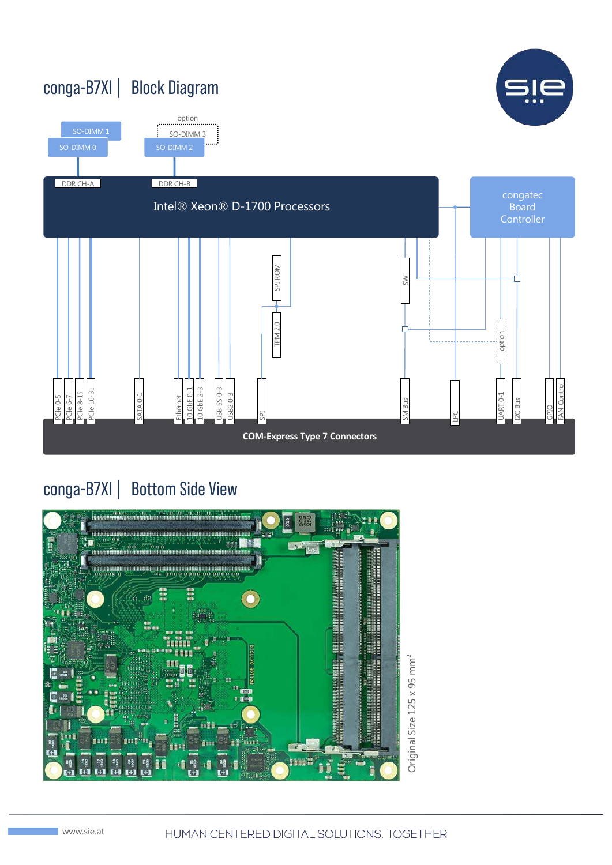

#### conga-B7XI | Bottom Side View

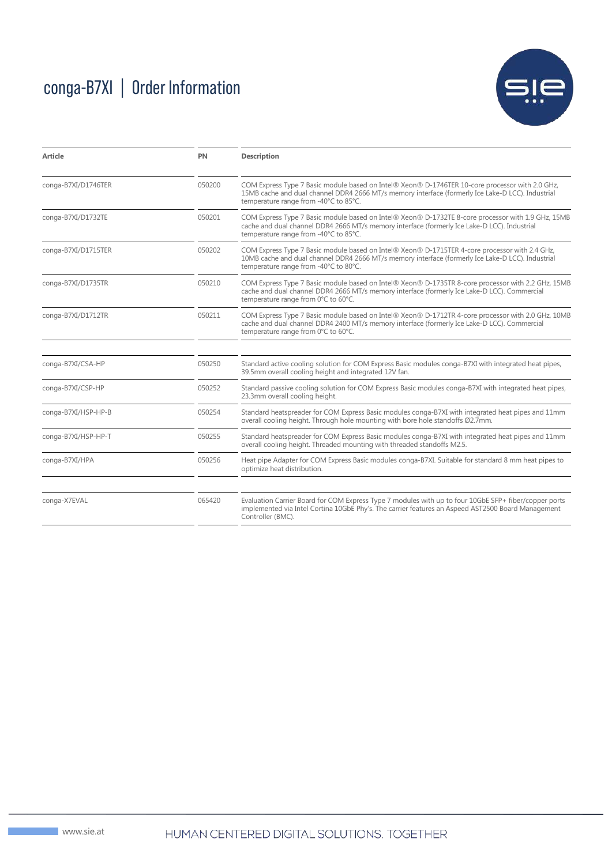## conga-B7XI | Order Information



| <b>Article</b>                | PN     | <b>Description</b>                                                                                                                                                                                                                            |  |  |  |  |
|-------------------------------|--------|-----------------------------------------------------------------------------------------------------------------------------------------------------------------------------------------------------------------------------------------------|--|--|--|--|
| 050200<br>conga-B7XI/D1746TER |        | COM Express Type 7 Basic module based on Intel® Xeon® D-1746TER 10-core processor with 2.0 GHz,<br>15MB cache and dual channel DDR4 2666 MT/s memory interface (formerly Ice Lake-D LCC). Industrial<br>temperature range from -40°C to 85°C. |  |  |  |  |
| conga-B7XI/D1732TE            | 050201 | COM Express Type 7 Basic module based on Intel® Xeon® D-1732TE 8-core processor with 1.9 GHz, 15MB<br>cache and dual channel DDR4 2666 MT/s memory interface (formerly Ice Lake-D LCC). Industrial<br>temperature range from -40°C to 85°C.   |  |  |  |  |
| conga-B7XI/D1715TER           | 050202 | COM Express Type 7 Basic module based on Intel® Xeon® D-1715TER 4-core processor with 2.4 GHz,<br>10MB cache and dual channel DDR4 2666 MT/s memory interface (formerly Ice Lake-D LCC). Industrial<br>temperature range from -40°C to 80°C.  |  |  |  |  |
| conga-B7XI/D1735TR            | 050210 | COM Express Type 7 Basic module based on Intel® Xeon® D-1735TR 8-core processor with 2.2 GHz, 15MB<br>cache and dual channel DDR4 2666 MT/s memory interface (formerly Ice Lake-D LCC). Commercial<br>temperature range from 0°C to 60°C.     |  |  |  |  |
| conga-B7XI/D1712TR            | 050211 | COM Express Type 7 Basic module based on Intel® Xeon® D-1712TR 4-core processor with 2.0 GHz, 10MB<br>cache and dual channel DDR4 2400 MT/s memory interface (formerly Ice Lake-D LCC). Commercial<br>temperature range from 0°C to 60°C.     |  |  |  |  |
| conga-B7XI/CSA-HP             | 050250 | Standard active cooling solution for COM Express Basic modules conga-B7XI with integrated heat pipes,<br>39.5mm overall cooling height and integrated 12V fan.                                                                                |  |  |  |  |
| conga-B7XI/CSP-HP             | 050252 | Standard passive cooling solution for COM Express Basic modules conga-B7XI with integrated heat pipes,<br>23.3mm overall cooling height.                                                                                                      |  |  |  |  |
| conga-B7XI/HSP-HP-B           | 050254 | Standard heatspreader for COM Express Basic modules conga-B7XI with integrated heat pipes and 11mm<br>overall cooling height. Through hole mounting with bore hole standoffs Ø2.7mm.                                                          |  |  |  |  |
| conga-B7XI/HSP-HP-T           | 050255 | Standard heatspreader for COM Express Basic modules conga-B7XI with integrated heat pipes and 11mm<br>overall cooling height. Threaded mounting with threaded standoffs M2.5.                                                                 |  |  |  |  |
| conga-B7XI/HPA                | 050256 | Heat pipe Adapter for COM Express Basic modules conga-B7XI. Suitable for standard 8 mm heat pipes to<br>optimize heat distribution.                                                                                                           |  |  |  |  |
| conga-X7EVAL                  | 065420 | Evaluation Carrier Board for COM Express Type 7 modules with up to four 10GbE SFP+ fiber/copper ports<br>implemented via Intel Cortina 10GbE Phy's. The carrier features an Aspeed AST2500 Board Management<br>Controller (BMC).              |  |  |  |  |